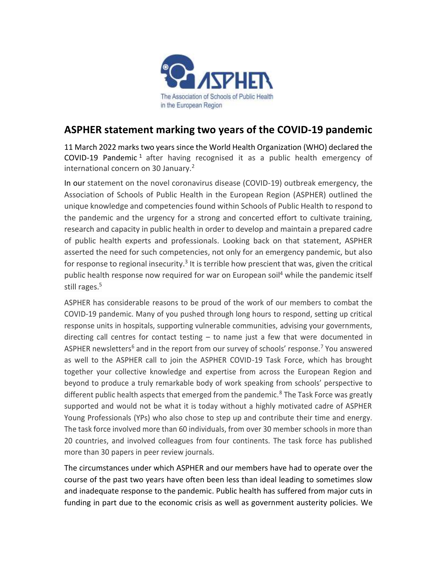

## **ASPHER statement marking two years of the COVID-19 pandemic**

11 March 2022 marks two years since the World Health Organization (WHO) declared the COVID-19 Pandemic<sup>1</sup> after having recognised it as a public health emergency of international concern on 30 January.<sup>2</sup>

In our statement on the novel coronavirus disease (COVID-19) outbreak emergency, the Association of Schools of Public Health in the European Region (ASPHER) outlined the unique knowledge and competencies found within Schools of Public Health to respond to the pandemic and the urgency for a strong and concerted effort to cultivate training, research and capacity in public health in order to develop and maintain a prepared cadre of public health experts and professionals. Looking back on that statement, ASPHER asserted the need for such competencies, not only for an emergency pandemic, but also for response to regional insecurity.<sup>3</sup> It is terrible how prescient that was, given the critical public health response now required for war on European soil<sup>4</sup> while the pandemic itself still rages.<sup>5</sup>

ASPHER has considerable reasons to be proud of the work of our members to combat the COVID-19 pandemic. Many of you pushed through long hours to respond, setting up critical response units in hospitals, supporting vulnerable communities, advising your governments, directing call centres for contact testing  $-$  to name just a few that were documented in ASPHER newsletters<sup>6</sup> and in the report from our survey of schools' response.<sup>7</sup> You answered as well to the ASPHER call to join the ASPHER COVID-19 Task Force, which has brought together your collective knowledge and expertise from across the European Region and beyond to produce a truly remarkable body of work speaking from schools' perspective to different public health aspects that emerged from the pandemic.<sup>8</sup> The Task Force was greatly supported and would not be what it is today without a highly motivated cadre of ASPHER Young Professionals (YPs) who also chose to step up and contribute their time and energy. The task force involved more than 60 individuals, from over 30 member schools in more than 20 countries, and involved colleagues from four continents. The task force has published more than 30 papers in peer review journals.

The circumstances under which ASPHER and our members have had to operate over the course of the past two years have often been less than ideal leading to sometimes slow and inadequate response to the pandemic. Public health has suffered from major cuts in funding in part due to the economic crisis as well as government austerity policies. We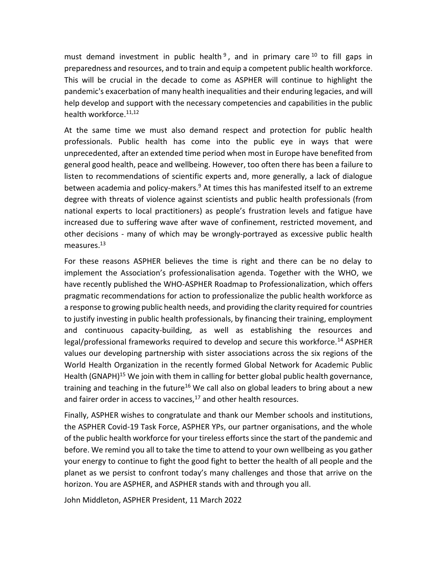must demand investment in public health<sup>9</sup>, and in primary care<sup>10</sup> to fill gaps in preparedness and resources, and to train and equip a competent public health workforce. This will be crucial in the decade to come as ASPHER will continue to highlight the pandemic's exacerbation of many health inequalities and their enduring legacies, and will help develop and support with the necessary competencies and capabilities in the public health workforce.<sup>11,12</sup>

At the same time we must also demand respect and protection for public health professionals. Public health has come into the public eye in ways that were unprecedented, after an extended time period when most in Europe have benefited from general good health, peace and wellbeing. However, too often there has been a failure to listen to recommendations of scientific experts and, more generally, a lack of dialogue between academia and policy-makers.<sup>9</sup> At times this has manifested itself to an extreme degree with threats of violence against scientists and public health professionals (from national experts to local practitioners) as people's frustration levels and fatigue have increased due to suffering wave after wave of confinement, restricted movement, and other decisions - many of which may be wrongly-portrayed as excessive public health measures. 13

For these reasons ASPHER believes the time is right and there can be no delay to implement the Association's professionalisation agenda. Together with the WHO, we have recently published the WHO-ASPHER Roadmap to Professionalization, which offers pragmatic recommendations for action to professionalize the public health workforce as a response to growing public health needs, and providing the clarity required for countries to justify investing in public health professionals, by financing their training, employment and continuous capacity-building, as well as establishing the resources and legal/professional frameworks required to develop and secure this workforce.<sup>14</sup> ASPHER values our developing partnership with sister associations across the six regions of the World Health Organization in the recently formed Global Network for Academic Public Health (GNAPH)<sup>15</sup> We join with them in calling for better global public health governance, training and teaching in the future<sup>16</sup> We call also on global leaders to bring about a new and fairer order in access to vaccines, $17$  and other health resources.

Finally, ASPHER wishes to congratulate and thank our Member schools and institutions, the ASPHER Covid-19 Task Force, ASPHER YPs, our partner organisations, and the whole of the public health workforce for your tireless efforts since the start of the pandemic and before. We remind you all to take the time to attend to your own wellbeing as you gather your energy to continue to fight the good fight to better the health of all people and the planet as we persist to confront today's many challenges and those that arrive on the horizon. You are ASPHER, and ASPHER stands with and through you all.

John Middleton, ASPHER President, 11 March 2022